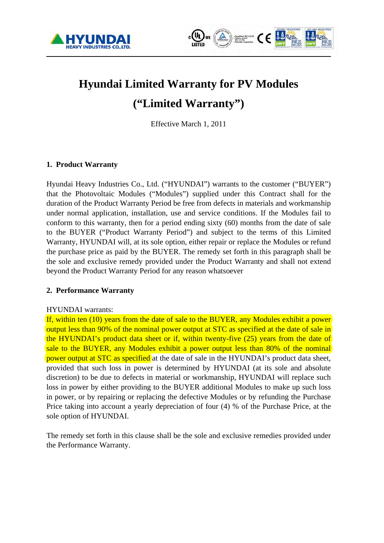



# **Hyundai Limited Warranty for PV Modules ("Limited Warranty")**

Effective March 1, 2011

# **1. Product Warranty**

Hyundai Heavy Industries Co., Ltd. ("HYUNDAI") warrants to the customer ("BUYER") that the Photovoltaic Modules ("Modules") supplied under this Contract shall for the duration of the Product Warranty Period be free from defects in materials and workmanship under normal application, installation, use and service conditions. If the Modules fail to conform to this warranty, then for a period ending sixty (60) months from the date of sale to the BUYER ("Product Warranty Period") and subject to the terms of this Limited Warranty, HYUNDAI will, at its sole option, either repair or replace the Modules or refund the purchase price as paid by the BUYER. The remedy set forth in this paragraph shall be the sole and exclusive remedy provided under the Product Warranty and shall not extend beyond the Product Warranty Period for any reason whatsoever

## **2. Performance Warranty**

#### HYUNDAI warrants:

If, within ten (10) years from the date of sale to the BUYER, any Modules exhibit a power output less than 90% of the nominal power output at STC as specified at the date of sale in the HYUNDAI's product data sheet or if, within twenty-five (25) years from the date of sale to the BUYER, any Modules exhibit a power output less than 80% of the nominal power output at STC as specified at the date of sale in the HYUNDAI's product data sheet, provided that such loss in power is determined by HYUNDAI (at its sole and absolute discretion) to be due to defects in material or workmanship, HYUNDAI will replace such loss in power by either providing to the BUYER additional Modules to make up such loss in power, or by repairing or replacing the defective Modules or by refunding the Purchase Price taking into account a yearly depreciation of four (4) % of the Purchase Price, at the sole option of HYUNDAI.

The remedy set forth in this clause shall be the sole and exclusive remedies provided under the Performance Warranty.